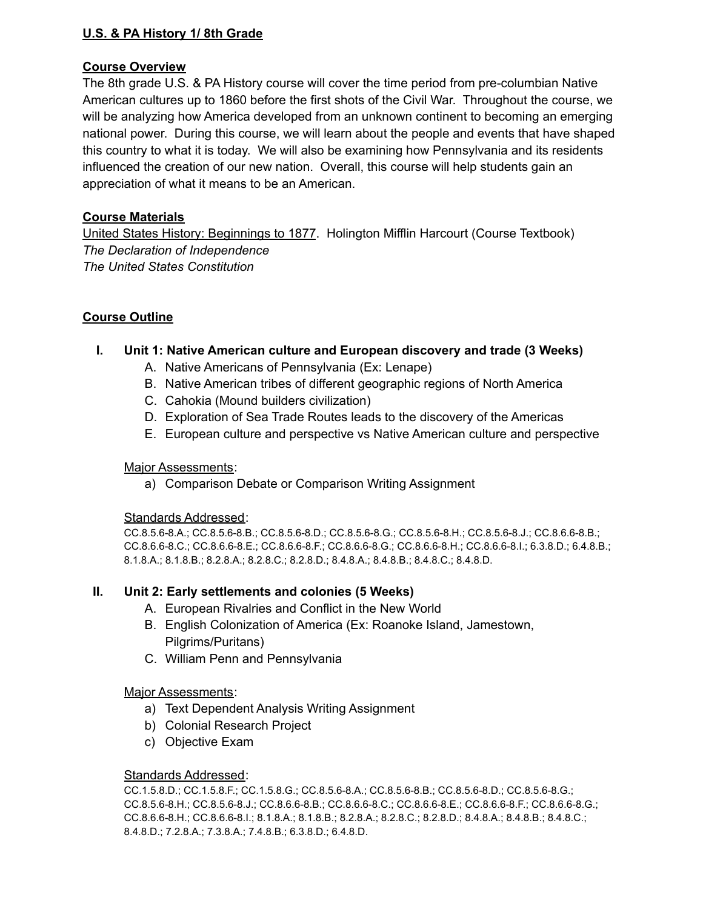# **U.S. & PA History 1/ 8th Grade**

#### **Course Overview**

The 8th grade U.S. & PA History course will cover the time period from pre-columbian Native American cultures up to 1860 before the first shots of the Civil War. Throughout the course, we will be analyzing how America developed from an unknown continent to becoming an emerging national power. During this course, we will learn about the people and events that have shaped this country to what it is today. We will also be examining how Pennsylvania and its residents influenced the creation of our new nation. Overall, this course will help students gain an appreciation of what it means to be an American.

## **Course Materials**

United States History: Beginnings to 1877. Holington Mifflin Harcourt (Course Textbook) *The Declaration of Independence The United States Constitution*

## **Course Outline**

#### **I. Unit 1: Native American culture and European discovery and trade (3 Weeks)**

- A. Native Americans of Pennsylvania (Ex: Lenape)
- B. Native American tribes of different geographic regions of North America
- C. Cahokia (Mound builders civilization)
- D. Exploration of Sea Trade Routes leads to the discovery of the Americas
- E. European culture and perspective vs Native American culture and perspective

#### Major Assessments:

a) Comparison Debate or Comparison Writing Assignment

#### Standards Addressed:

CC.8.5.6-8.A.; CC.8.5.6-8.B.; CC.8.5.6-8.D.; CC.8.5.6-8.G.; CC.8.5.6-8.H.; CC.8.5.6-8.J.; CC.8.6.6-8.B.; CC.8.6.6-8.C.; CC.8.6.6-8.E.; CC.8.6.6-8.F.; CC.8.6.6-8.G.; CC.8.6.6-8.H.; CC.8.6.6-8.I.; 6.3.8.D.; 6.4.8.B.; 8.1.8.A.; 8.1.8.B.; 8.2.8.A.; 8.2.8.C.; 8.2.8.D.; 8.4.8.A.; 8.4.8.B.; 8.4.8.C.; 8.4.8.D.

#### **II. Unit 2: Early settlements and colonies (5 Weeks)**

- A. European Rivalries and Conflict in the New World
- B. English Colonization of America (Ex: Roanoke Island, Jamestown, Pilgrims/Puritans)
- C. William Penn and Pennsylvania

#### Major Assessments:

- a) Text Dependent Analysis Writing Assignment
- b) Colonial Research Project
- c) Objective Exam

#### Standards Addressed:

CC.1.5.8.D.; CC.1.5.8.F.; CC.1.5.8.G.; CC.8.5.6-8.A.; CC.8.5.6-8.B.; CC.8.5.6-8.D.; CC.8.5.6-8.G.; CC.8.5.6-8.H.; CC.8.5.6-8.J.; CC.8.6.6-8.B.; CC.8.6.6-8.C.; CC.8.6.6-8.E.; CC.8.6.6-8.F.; CC.8.6.6-8.G.; CC.8.6.6-8.H.; CC.8.6.6-8.I.; 8.1.8.A.; 8.1.8.B.; 8.2.8.A.; 8.2.8.C.; 8.2.8.D.; 8.4.8.A.; 8.4.8.B.; 8.4.8.C.; 8.4.8.D.; 7.2.8.A.; 7.3.8.A.; 7.4.8.B.; 6.3.8.D.; 6.4.8.D.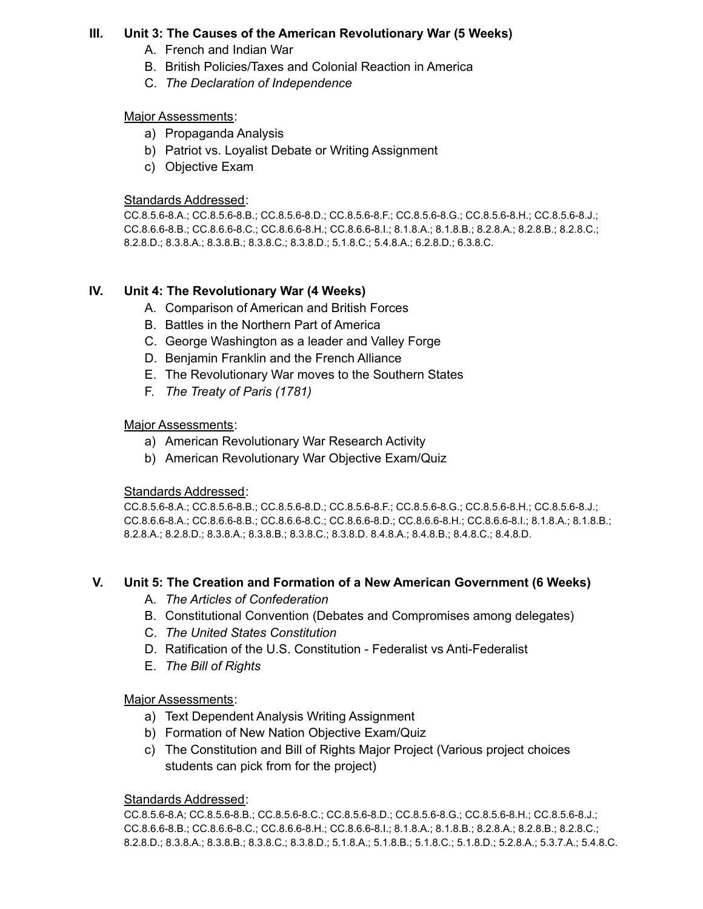## **III. Unit 3: The Causes of the American Revolutionary War (5 Weeks)**

- A. French and Indian War
- B. British Policies/Taxes and Colonial Reaction in America
- C. *The Declaration of Independence*

## Major Assessments:

- a) Propaganda Analysis
- b) Patriot vs. Loyalist Debate or Writing Assignment
- c) Objective Exam

## Standards Addressed:

CC.8.5.6-8.A.; CC.8.5.6-8.B.; CC.8.5.6-8.D.; CC.8.5.6-8.F.; CC.8.5.6-8.G.; CC.8.5.6-8.H.; CC.8.5.6-8.J.; CC.8.6.6-8.B.; CC.8.6.6-8.C.; CC.8.6.6-8.H.; CC.8.6.6-8.I.; 8.1.8.A.; 8.1.8.B.; 8.2.8.A.; 8.2.8.B.; 8.2.8.C.; 8.2.8.D.; 8.3.8.A.; 8.3.8.B.; 8.3.8.C.; 8.3.8.D.; 5.1.8.C.; 5.4.8.A.; 6.2.8.D.; 6.3.8.C.

## **IV. Unit 4: The Revolutionary War (4 Weeks)**

- A. Comparison of American and British Forces
- B. Battles in the Northern Part of America
- C. George Washington as a leader and Valley Forge
- D. Benjamin Franklin and the French Alliance
- E. The Revolutionary War moves to the Southern States
- F. *The Treaty of Paris (1781)*

## Major Assessments:

- a) American Revolutionary War Research Activity
- b) American Revolutionary War Objective Exam/Quiz

## Standards Addressed:

CC.8.5.6-8.A.; CC.8.5.6-8.B.; CC.8.5.6-8.D.; CC.8.5.6-8.F.; CC.8.5.6-8.G.; CC.8.5.6-8.H.; CC.8.5.6-8.J.; CC.8.6.6-8.A.; CC.8.6.6-8.B.; CC.8.6.6-8.C.; CC.8.6.6-8.D.; CC.8.6.6-8.H.; CC.8.6.6-8.I.; 8.1.8.A.; 8.1.8.B.; 8.2.8.A.; 8.2.8.D.; 8.3.8.A.; 8.3.8.B.; 8.3.8.C.; 8.3.8.D. 8.4.8.A.; 8.4.8.B.; 8.4.8.C.; 8.4.8.D.

## **V. Unit 5: The Creation and Formation of a New American Government (6 Weeks)**

- A. *The Articles of Confederation*
- B. Constitutional Convention (Debates and Compromises among delegates)
- C. *The United States Constitution*
- D. Ratification of the U.S. Constitution Federalist vs Anti-Federalist
- E. *The Bill of Rights*

## Major Assessments:

- a) Text Dependent Analysis Writing Assignment
- b) Formation of New Nation Objective Exam/Quiz
- c) The Constitution and Bill of Rights Major Project (Various project choices students can pick from for the project)

## Standards Addressed:

CC.8.5.6-8.A; CC.8.5.6-8.B.; CC.8.5.6-8.C.; CC.8.5.6-8.D.; CC.8.5.6-8.G.; CC.8.5.6-8.H.; CC.8.5.6-8.J.; CC.8.6.6-8.B.; CC.8.6.6-8.C.; CC.8.6.6-8.H.; CC.8.6.6-8.I.; 8.1.8.A.; 8.1.8.B.; 8.2.8.A.; 8.2.8.B.; 8.2.8.C.; 8.2.8.D.; 8.3.8.A.; 8.3.8.B.; 8.3.8.C.; 8.3.8.D.; 5.1.8.A.; 5.1.8.B.; 5.1.8.C.; 5.1.8.D.; 5.2.8.A.; 5.3.7.A.; 5.4.8.C.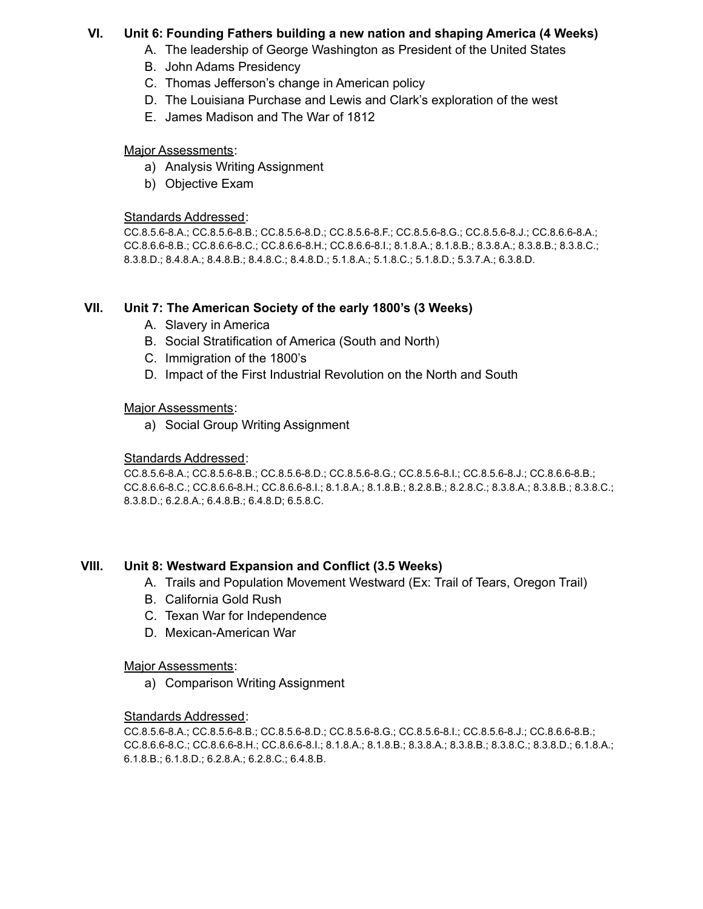## **VI. Unit 6: Founding Fathers building a new nation and shaping America (4 Weeks)**

- A. The leadership of George Washington as President of the United States
- B. John Adams Presidency
- C. Thomas Jefferson's change in American policy
- D. The Louisiana Purchase and Lewis and Clark's exploration of the west
- E. James Madison and The War of 1812

## Major Assessments:

- a) Analysis Writing Assignment
- b) Objective Exam

# Standards Addressed:

CC.8.5.6-8.A.; CC.8.5.6-8.B.; CC.8.5.6-8.D.; CC.8.5.6-8.F.; CC.8.5.6-8.G.; CC.8.5.6-8.J.; CC.8.6.6-8.A.; CC.8.6.6-8.B.; CC.8.6.6-8.C.; CC.8.6.6-8.H.; CC.8.6.6-8.I.; 8.1.8.A.; 8.1.8.B.; 8.3.8.A.; 8.3.8.B.; 8.3.8.C.; 8.3.8.D.; 8.4.8.A.; 8.4.8.B.; 8.4.8.C.; 8.4.8.D.; 5.1.8.A.; 5.1.8.C.; 5.1.8.D.; 5.3.7.A.; 6.3.8.D.

# **VII. Unit 7: The American Society of the early 1800's (3 Weeks)**

- A. Slavery in America
- B. Social Stratification of America (South and North)
- C. Immigration of the 1800's
- D. Impact of the First Industrial Revolution on the North and South

## Major Assessments:

a) Social Group Writing Assignment

## Standards Addressed:

CC.8.5.6-8.A.; CC.8.5.6-8.B.; CC.8.5.6-8.D.; CC.8.5.6-8.G.; CC.8.5.6-8.I.; CC.8.5.6-8.J.; CC.8.6.6-8.B.; CC.8.6.6-8.C.; CC.8.6.6-8.H.; CC.8.6.6-8.I.; 8.1.8.A.; 8.1.8.B.; 8.2.8.B.; 8.2.8.C.; 8.3.8.A.; 8.3.8.B.; 8.3.8.C.; 8.3.8.D.; 6.2.8.A.; 6.4.8.B.; 6.4.8.D; 6.5.8.C.

## **VIII. Unit 8: Westward Expansion and Conflict (3.5 Weeks)**

- A. Trails and Population Movement Westward (Ex: Trail of Tears, Oregon Trail)
- B. California Gold Rush
- C. Texan War for Independence
- D. Mexican-American War

## Major Assessments:

a) Comparison Writing Assignment

## Standards Addressed:

CC.8.5.6-8.A.; CC.8.5.6-8.B.; CC.8.5.6-8.D.; CC.8.5.6-8.G.; CC.8.5.6-8.I.; CC.8.5.6-8.J.; CC.8.6.6-8.B.; CC.8.6.6-8.C.; CC.8.6.6-8.H.; CC.8.6.6-8.I.; 8.1.8.A.; 8.1.8.B.; 8.3.8.A.; 8.3.8.B.; 8.3.8.C.; 8.3.8.D.; 6.1.8.A.; 6.1.8.B.; 6.1.8.D.; 6.2.8.A.; 6.2.8.C.; 6.4.8.B.